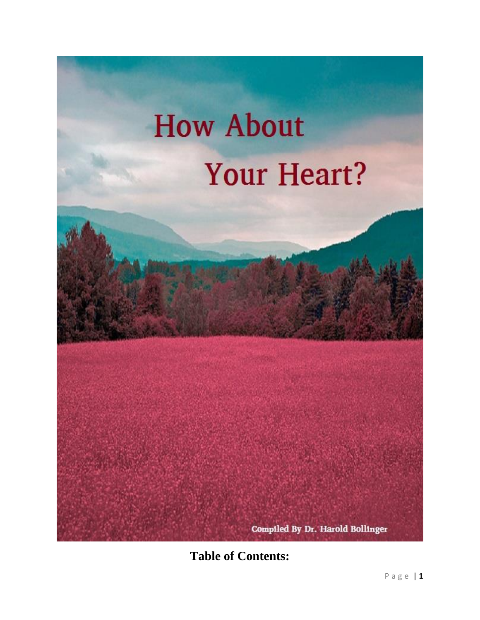

**Table of Contents:**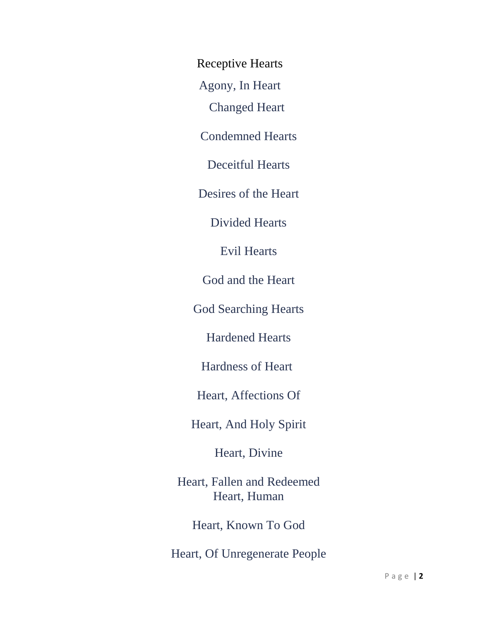Receptive Hearts

[Agony, In Heart](http://bible.knowing-jesus.com/topics/Agony,-In-Heart)

[Changed Heart](http://bible.knowing-jesus.com/topics/Changed-Heart)

[Condemned Hearts](http://bible.knowing-jesus.com/topics/Condemned-Hearts)

[Deceitful Hearts](http://bible.knowing-jesus.com/topics/Deceitful-Hearts)

[Desires of the Heart](http://bible.knowing-jesus.com/topics/Desires-Of-The-Heart)

[Divided Hearts](http://bible.knowing-jesus.com/topics/Divided-Hearts)

[Evil Hearts](http://bible.knowing-jesus.com/topics/Evil-Hearts)

God and [the Heart](http://bible.knowing-jesus.com/topics/God-And-The-Heart)

[God Searching Hearts](http://bible.knowing-jesus.com/topics/God-Searching-Hearts)

[Hardened Hearts](http://bible.knowing-jesus.com/topics/Hardened-Hearts)

[Hardness of Heart](http://bible.knowing-jesus.com/topics/Hardness-Of-Heart)

[Heart, Affections Of](http://bible.knowing-jesus.com/topics/Heart,-Affections-Of)

[Heart, And Holy Spirit](http://bible.knowing-jesus.com/topics/Heart,-And-Holy-Spirit)

[Heart, Divine](http://bible.knowing-jesus.com/topics/Heart,-Divine)

[Heart, Fallen and Redeemed](http://bible.knowing-jesus.com/topics/Heart,-Fallen-And-Redeemed) [Heart, Human](http://bible.knowing-jesus.com/topics/Heart,-Human)

[Heart, Known To God](http://bible.knowing-jesus.com/topics/Heart,-Known-To-God)

[Heart, Of Unregenerate People](http://bible.knowing-jesus.com/topics/Heart,-Of-Unregenerate-People)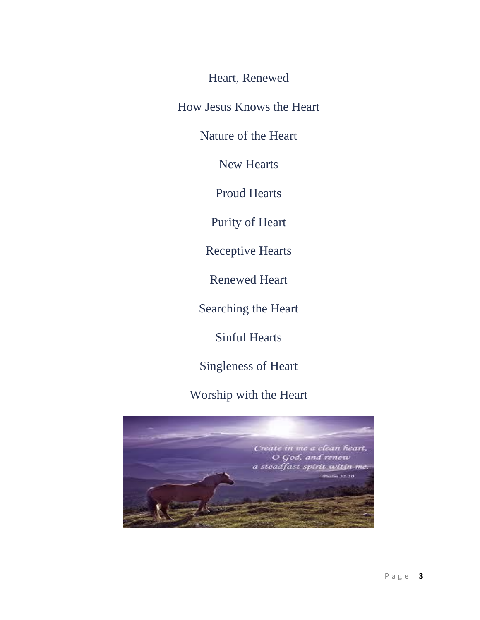[Heart, Renewed](http://bible.knowing-jesus.com/topics/Heart,-Renewed)

[How Jesus Knows the Heart](http://bible.knowing-jesus.com/topics/How-Jesus-Knows-The-Heart)

[Nature of the Heart](http://bible.knowing-jesus.com/topics/Nature-Of-The-Heart)

[New Hearts](http://bible.knowing-jesus.com/topics/New-Hearts)

[Proud Hearts](http://bible.knowing-jesus.com/topics/Proud-Hearts)

[Purity of Heart](http://bible.knowing-jesus.com/topics/Purity-Of-Heart)

[Receptive Hearts](http://bible.knowing-jesus.com/topics/Receptive-Hearts)

[Renewed Heart](http://bible.knowing-jesus.com/topics/Renewed-Heart)

[Searching the Heart](http://bible.knowing-jesus.com/topics/Searching-The-Heart)

[Sinful Hearts](http://bible.knowing-jesus.com/topics/Sinful-Hearts)

[Singleness of Heart](http://bible.knowing-jesus.com/topics/Singleness-Of-Heart)

[Worship with the Heart](http://bible.knowing-jesus.com/topics/Worship-With-The-Heart)

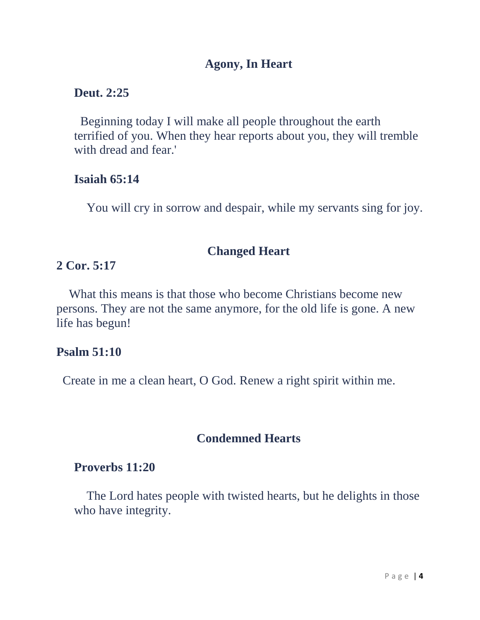## **[Agony, In Heart](http://bible.knowing-jesus.com/topics/Agony,-In-Heart)**

### **Deut. 2:25**

 Beginning today I will make all people throughout the earth terrified of you. When they hear reports about you, they will tremble with dread and fear.'

### **Isaiah 65:14**

You will cry in sorrow and despair, while my servants sing for joy.

### **[Changed Heart](http://bible.knowing-jesus.com/topics/Changed-Heart)**

# **2 Cor. 5:17**

 What this means is that those who become Christians become new persons. They are not the same anymore, for the old life is gone. A new life has begun!

# **Psalm 51:10**

Create in me a clean heart, O God. Renew a right spirit within me.

# **[Condemned Hearts](http://bible.knowing-jesus.com/topics/Condemned-Hearts)**

## **Proverbs 11:20**

 The Lord hates people with twisted hearts, but he delights in those who have integrity.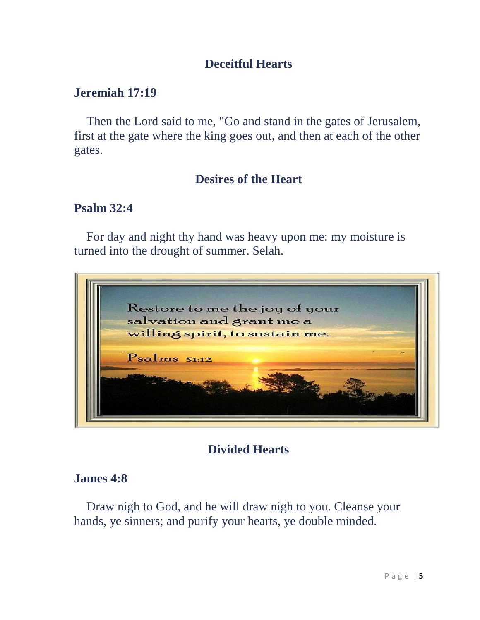# **[Deceitful Hearts](http://bible.knowing-jesus.com/topics/Deceitful-Hearts)**

## **Jeremiah 17:19**

 Then the Lord said to me, "Go and stand in the gates of Jerusalem, first at the gate where the king goes out, and then at each of the other gates.

# **[Desires of the Heart](http://bible.knowing-jesus.com/topics/Desires-Of-The-Heart)**

# **Psalm 32:4**

 For day and night thy hand was heavy upon me: my moisture is turned into the drought of summer. Selah.



# **[Divided Hearts](http://bible.knowing-jesus.com/topics/Divided-Hearts)**

# **James 4:8**

 Draw nigh to God, and he will draw nigh to you. Cleanse your hands, ye sinners; and purify your hearts, ye double minded.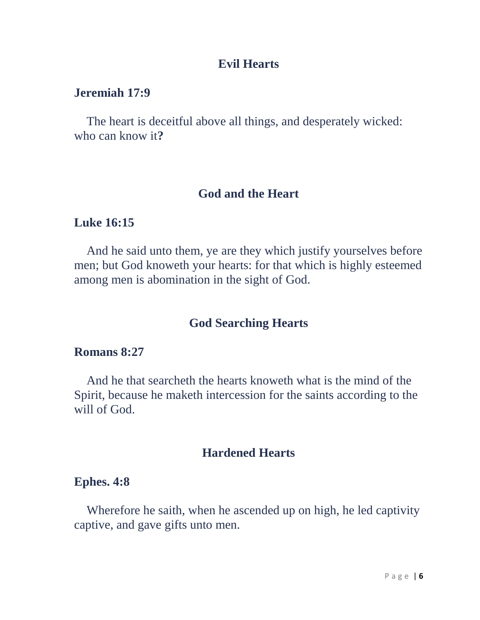### **[Evil Hearts](http://bible.knowing-jesus.com/topics/Evil-Hearts)**

#### **Jeremiah 17:9**

 The heart is deceitful above all things, and desperately wicked: who can know it**?** 

#### **[God and the Heart](http://bible.knowing-jesus.com/topics/God-And-The-Heart)**

## **Luke 16:15**

 And he said unto them, ye are they which justify yourselves before men; but God knoweth your hearts: for that which is highly esteemed among men is abomination in the sight of God.

### **[God Searching Hearts](http://bible.knowing-jesus.com/topics/God-Searching-Hearts)**

## **Romans 8:27**

And he that searcheth the hearts knoweth what is the mind of the Spirit, because he maketh intercession for the saints according to the will of God.

# **[Hardened Hearts](http://bible.knowing-jesus.com/topics/Hardened-Hearts)**

#### **Ephes. 4:8**

Wherefore he saith, when he ascended up on high, he led captivity captive, and gave gifts unto men.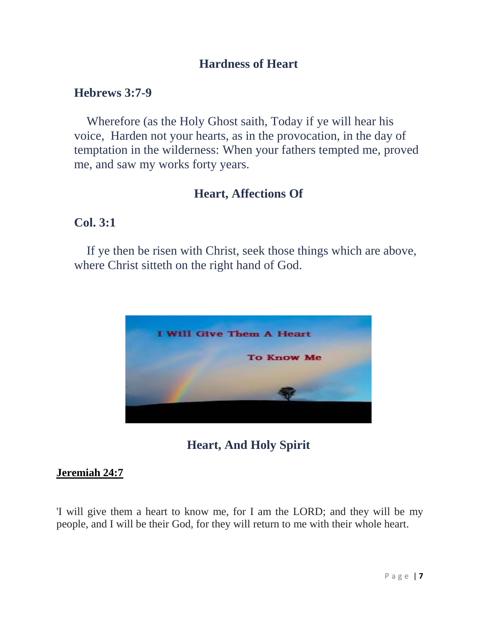# **[Hardness of Heart](http://bible.knowing-jesus.com/topics/Hardness-Of-Heart)**

### **Hebrews 3:7-9**

Wherefore (as the Holy Ghost saith, Today if ye will hear his voice, Harden not your hearts, as in the provocation, in the day of temptation in the wilderness: When your fathers tempted me, proved me, and saw my works forty years.

## **[Heart, Affections Of](http://bible.knowing-jesus.com/topics/Heart,-Affections-Of)**

### **Col. 3:1**

 If ye then be risen with Christ, seek those things which are above, where Christ sitteth on the right hand of God.



# **[Heart, And Holy Spirit](http://bible.knowing-jesus.com/topics/Heart,-And-Holy-Spirit)**

#### **[Jeremiah](http://bible.knowing-jesus.com/Jeremiah/24/7) 24:7**

'I will give them a heart to know me, for I am the LORD; and they will be my people, and I will be their God, for they will return to me with their whole heart.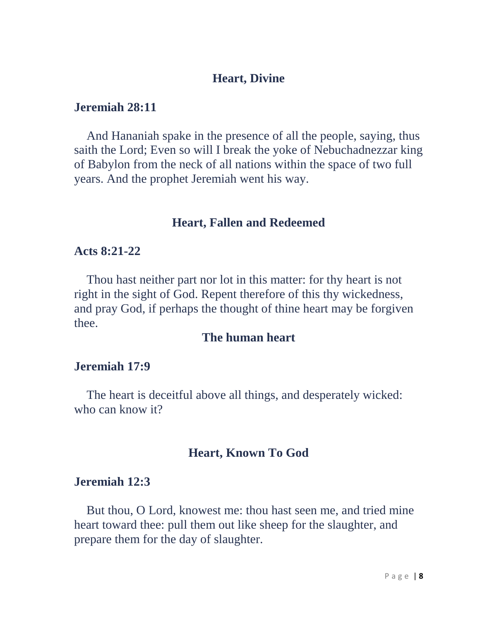### **[Heart, Divine](http://bible.knowing-jesus.com/topics/Heart,-Divine)**

### **Jeremiah 28:11**

And Hananiah spake in the presence of all the people, saying, thus saith the Lord; Even so will I break the yoke of Nebuchadnezzar king of Babylon from the neck of all nations within the space of two full years. And the prophet Jeremiah went his way.

### **[Heart, Fallen and Redeemed](http://bible.knowing-jesus.com/topics/Heart,-Fallen-And-Redeemed)**

#### **Acts 8:21-22**

 Thou hast neither part nor lot in this matter: for thy heart is not right in the sight of God. Repent therefore of this thy wickedness, and pray God, if perhaps the thought of thine heart may be forgiven thee.

#### **[The human](http://bible.knowing-jesus.com/topics/Heart,-Human) heart**

#### **Jeremiah 17:9**

The heart is deceitful above all things, and desperately wicked: who can know it?

#### **[Heart, Known To God](http://bible.knowing-jesus.com/topics/Heart,-Known-To-God)**

#### **Jeremiah 12:3**

But thou, O Lord, knowest me: thou hast seen me, and tried mine heart toward thee: pull them out like sheep for the slaughter, and prepare them for the day of slaughter.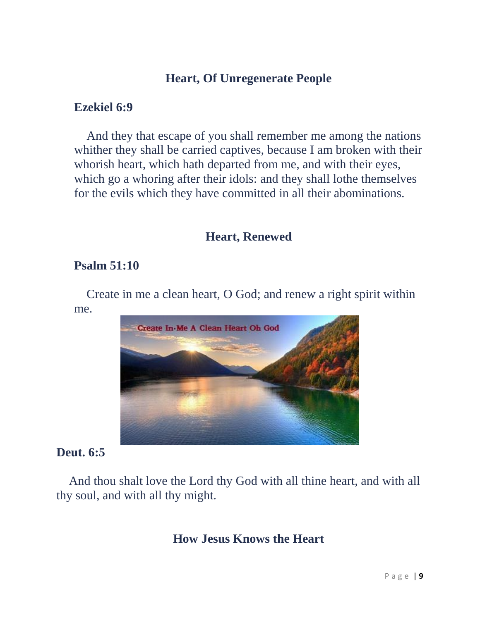# **[Heart, Of Unregenerate People](http://bible.knowing-jesus.com/topics/Heart,-Of-Unregenerate-People)**

# **Ezekiel 6:9**

And they that escape of you shall remember me among the nations whither they shall be carried captives, because I am broken with their whorish heart, which hath departed from me, and with their eyes, which go a whoring after their idols: and they shall lothe themselves for the evils which they have committed in all their abominations.

## **[Heart, Renewed](http://bible.knowing-jesus.com/topics/Heart,-Renewed)**

# **Psalm 51:10**

Create in me a clean heart, O God; and renew a right spirit within me.



# **Deut. 6:5**

 And thou shalt love the Lord thy God with all thine heart, and with all thy soul, and with all thy might.

# **[How Jesus Knows the Heart](http://bible.knowing-jesus.com/topics/How-Jesus-Knows-The-Heart)**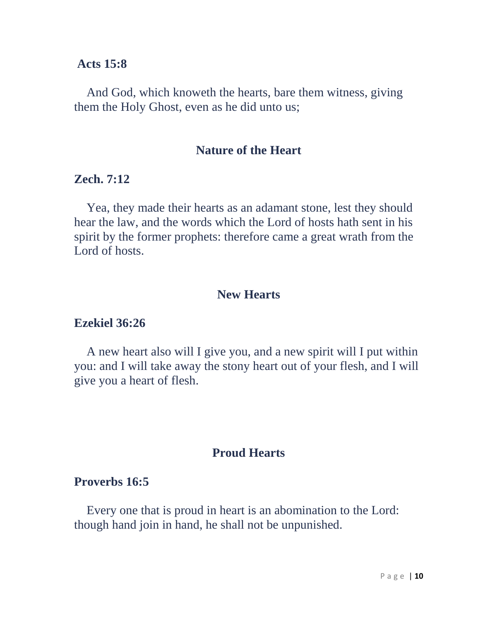#### **Acts 15:8**

And God, which knoweth the hearts, bare them witness, giving them the Holy Ghost, even as he did unto us;

#### **[Nature of the Heart](http://bible.knowing-jesus.com/topics/Nature-Of-The-Heart)**

### **Zech. 7:12**

Yea, they made their hearts as an adamant stone, lest they should hear the law, and the words which the Lord of hosts hath sent in his spirit by the former prophets: therefore came a great wrath from the Lord of hosts

### **[New Hearts](http://bible.knowing-jesus.com/topics/New-Hearts)**

#### **Ezekiel 36:26**

 A new heart also will I give you, and a new spirit will I put within you: and I will take away the stony heart out of your flesh, and I will give you a heart of flesh.

#### **[Proud Hearts](http://bible.knowing-jesus.com/topics/Proud-Hearts)**

#### **Proverbs 16:5**

 Every one that is proud in heart is an abomination to the Lord: though hand join in hand, he shall not be unpunished.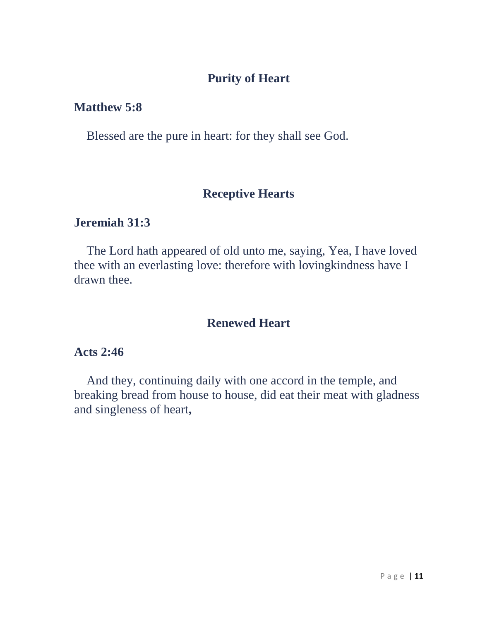# **[Purity of Heart](http://bible.knowing-jesus.com/topics/Purity-Of-Heart)**

# **Matthew 5:8**

Blessed are the pure in heart: for they shall see God.

## **[Receptive Hearts](http://bible.knowing-jesus.com/topics/Receptive-Hearts)**

## **Jeremiah 31:3**

The Lord hath appeared of old unto me, saying, Yea, I have loved thee with an everlasting love: therefore with lovingkindness have I drawn thee.

### **[Renewed Heart](http://bible.knowing-jesus.com/topics/Renewed-Heart)**

# **Acts 2:46**

And they, continuing daily with one accord in the temple, and breaking bread from house to house, did eat their meat with gladness and singleness of heart**,**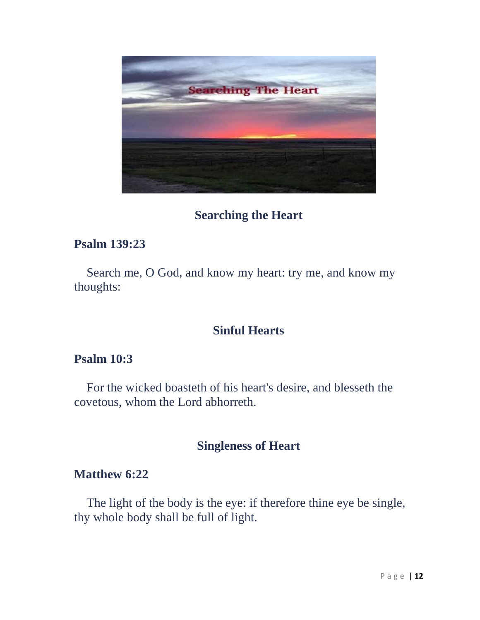

## **[Searching the Heart](http://bible.knowing-jesus.com/topics/Searching-The-Heart)**

### **Psalm 139:23**

 Search me, O God, and know my heart: try me, and know my thoughts:

## **[Sinful Hearts](http://bible.knowing-jesus.com/topics/Sinful-Hearts)**

## **Psalm 10:3**

 For the wicked boasteth of his heart's desire, and blesseth the covetous, whom the Lord abhorreth.

### **[Singleness of Heart](http://bible.knowing-jesus.com/topics/Singleness-Of-Heart)**

### **Matthew 6:22**

 The light of the body is the eye: if therefore thine eye be single, thy whole body shall be full of light.